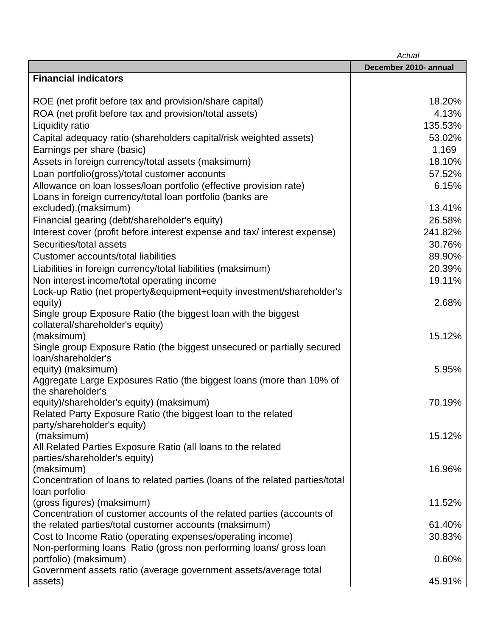|                                                                                                      | Actual                |
|------------------------------------------------------------------------------------------------------|-----------------------|
|                                                                                                      | December 2010- annual |
| <b>Financial indicators</b>                                                                          |                       |
|                                                                                                      |                       |
| ROE (net profit before tax and provision/share capital)                                              | 18.20%                |
| ROA (net profit before tax and provision/total assets)                                               | 4.13%                 |
| Liquidity ratio                                                                                      | 135.53%               |
| Capital adequacy ratio (shareholders capital/risk weighted assets)                                   | 53.02%                |
| Earnings per share (basic)                                                                           | 1,169                 |
| Assets in foreign currency/total assets (maksimum)                                                   | 18.10%                |
| Loan portfolio(gross)/total customer accounts                                                        | 57.52%                |
| Allowance on loan losses/loan portfolio (effective provision rate)                                   | 6.15%                 |
| Loans in foreign currency/total loan portfolio (banks are                                            |                       |
| excluded), (maksimum)                                                                                | 13.41%                |
| Financial gearing (debt/shareholder's equity)                                                        | 26.58%                |
| Interest cover (profit before interest expense and tax/interest expense)                             | 241.82%               |
| Securities/total assets                                                                              | 30.76%                |
| Customer accounts/total liabilities                                                                  | 89.90%                |
| Liabilities in foreign currency/total liabilities (maksimum)                                         | 20.39%                |
| Non interest income/total operating income                                                           | 19.11%                |
| Lock-up Ratio (net property&equipment+equity investment/shareholder's                                |                       |
| equity)                                                                                              | 2.68%                 |
| Single group Exposure Ratio (the biggest loan with the biggest                                       |                       |
| collateral/shareholder's equity)                                                                     | 15.12%                |
| (maksimum)<br>Single group Exposure Ratio (the biggest unsecured or partially secured                |                       |
| loan/shareholder's                                                                                   |                       |
| equity) (maksimum)                                                                                   | 5.95%                 |
| Aggregate Large Exposures Ratio (the biggest loans (more than 10% of                                 |                       |
| the shareholder's                                                                                    |                       |
| equity)/shareholder's equity) (maksimum)                                                             | 70.19%                |
| Related Party Exposure Ratio (the biggest loan to the related                                        |                       |
| party/shareholder's equity)                                                                          |                       |
| (maksimum)                                                                                           | 15.12%                |
| All Related Parties Exposure Ratio (all loans to the related                                         |                       |
| parties/shareholder's equity)                                                                        |                       |
| (maksimum)                                                                                           | 16.96%                |
| Concentration of loans to related parties (loans of the related parties/total                        |                       |
| loan porfolio                                                                                        | 11.52%                |
| (gross figures) (maksimum)<br>Concentration of customer accounts of the related parties (accounts of |                       |
| the related parties/total customer accounts (maksimum)                                               | 61.40%                |
| Cost to Income Ratio (operating expenses/operating income)                                           | 30.83%                |
| Non-performing loans Ratio (gross non performing loans/gross loan                                    |                       |
| portfolio) (maksimum)                                                                                | 0.60%                 |
| Government assets ratio (average government assets/average total                                     |                       |
| assets)                                                                                              | 45.91%                |
|                                                                                                      |                       |